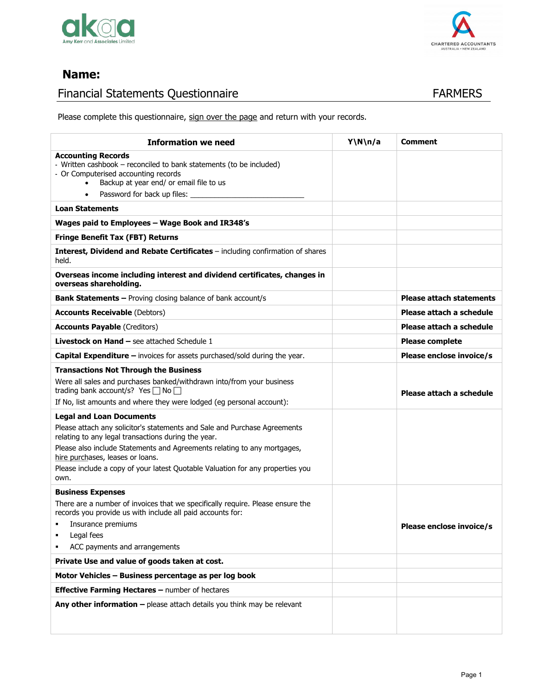



# **Name:**

# Financial Statements Questionnaire **FARMERS**

Please complete this questionnaire, sign over the page and return with your records.

| <b>Information we need</b>                                                                                                                                                                                                                                                                                                                                                    | Y\N\n/a | <b>Comment</b>                  |
|-------------------------------------------------------------------------------------------------------------------------------------------------------------------------------------------------------------------------------------------------------------------------------------------------------------------------------------------------------------------------------|---------|---------------------------------|
| <b>Accounting Records</b><br>- Written cashbook - reconciled to bank statements (to be included)<br>- Or Computerised accounting records<br>Backup at year end/ or email file to us<br>$\bullet$<br>Password for back up files:<br>$\bullet$                                                                                                                                  |         |                                 |
| <b>Loan Statements</b>                                                                                                                                                                                                                                                                                                                                                        |         |                                 |
| Wages paid to Employees - Wage Book and IR348's                                                                                                                                                                                                                                                                                                                               |         |                                 |
| <b>Fringe Benefit Tax (FBT) Returns</b>                                                                                                                                                                                                                                                                                                                                       |         |                                 |
| Interest, Dividend and Rebate Certificates - including confirmation of shares<br>held.                                                                                                                                                                                                                                                                                        |         |                                 |
| Overseas income including interest and dividend certificates, changes in<br>overseas shareholding.                                                                                                                                                                                                                                                                            |         |                                 |
| <b>Bank Statements - Proving closing balance of bank account/s</b>                                                                                                                                                                                                                                                                                                            |         | <b>Please attach statements</b> |
| <b>Accounts Receivable (Debtors)</b>                                                                                                                                                                                                                                                                                                                                          |         | Please attach a schedule        |
| <b>Accounts Payable (Creditors)</b>                                                                                                                                                                                                                                                                                                                                           |         | Please attach a schedule        |
| <b>Livestock on Hand - see attached Schedule 1</b>                                                                                                                                                                                                                                                                                                                            |         | <b>Please complete</b>          |
| <b>Capital Expenditure –</b> invoices for assets purchased/sold during the year.                                                                                                                                                                                                                                                                                              |         | Please enclose invoice/s        |
| <b>Transactions Not Through the Business</b><br>Were all sales and purchases banked/withdrawn into/from your business<br>trading bank account/s? Yes □ No<br>If No, list amounts and where they were lodged (eg personal account):                                                                                                                                            |         | Please attach a schedule        |
| <b>Legal and Loan Documents</b><br>Please attach any solicitor's statements and Sale and Purchase Agreements<br>relating to any legal transactions during the year.<br>Please also include Statements and Agreements relating to any mortgages,<br>hire purchases, leases or loans.<br>Please include a copy of your latest Quotable Valuation for any properties you<br>own. |         |                                 |
| <b>Business Expenses</b><br>There are a number of invoices that we specifically require. Please ensure the<br>records you provide us with include all paid accounts for:<br>Insurance premiums                                                                                                                                                                                |         | Please enclose invoice/s        |
| Legal fees<br>ACC payments and arrangements                                                                                                                                                                                                                                                                                                                                   |         |                                 |
| Private Use and value of goods taken at cost.                                                                                                                                                                                                                                                                                                                                 |         |                                 |
| Motor Vehicles - Business percentage as per log book                                                                                                                                                                                                                                                                                                                          |         |                                 |
| Effective Farming Hectares - number of hectares                                                                                                                                                                                                                                                                                                                               |         |                                 |
| Any other information $-$ please attach details you think may be relevant                                                                                                                                                                                                                                                                                                     |         |                                 |

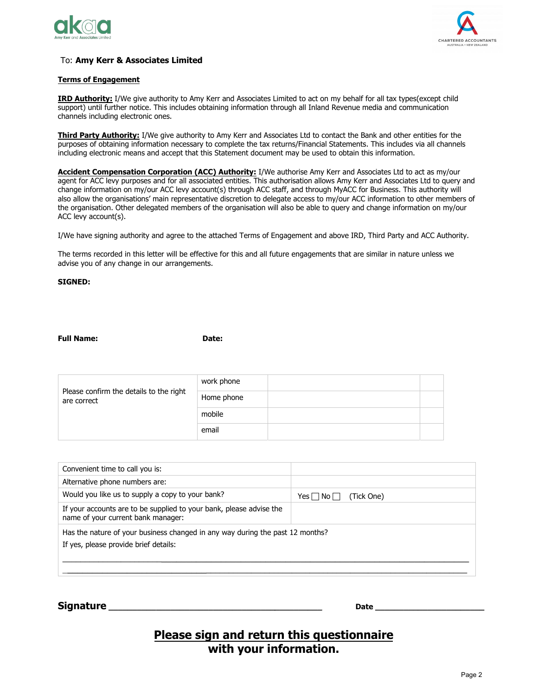



#### To: Amy Kerr & Associates Limited

#### **Terms of Engagement**

IRD Authority: I/We give authority to Amy Kerr and Associates Limited to act on my behalf for all tax types(except child support) until further notice. This includes obtaining information through all Inland Revenue media and communication channels including electronic ones.

Third Party Authority: I/We give authority to Amy Kerr and Associates Ltd to contact the Bank and other entities for the purposes of obtaining information necessary to complete the tax returns/Financial Statements. This includes via all channels including electronic means and accept that this Statement document may be used to obtain this information.

Accident Compensation Corporation (ACC) Authority: I/We authorise Amy Kerr and Associates Ltd to act as my/our agent for ACC levy purposes and for all associated entities. This authorisation allows Amy Kerr and Associates Ltd to query and change information on my/our ACC levy account(s) through ACC staff, and through MyACC for Business. This authority will also allow the organisations' main representative discretion to delegate access to my/our ACC information to other members of the organisation. Other delegated members of the organisation will also be able to query and change information on my/our ACC levy account(s).

I/We have signing authority and agree to the attached Terms of Engagement and above IRD, Third Party and ACC Authority.

The terms recorded in this letter will be effective for this and all future engagements that are similar in nature unless we advise you of any change in our arrangements.

#### **SIGNED:**

#### **Property CONFIDENTIFY CONFIDENTIFY CONFIDENTIFY CONFIDENTIFY**

|                                                        | work phone |  |
|--------------------------------------------------------|------------|--|
| Please confirm the details to the right<br>are correct | Home phone |  |
|                                                        | mobile     |  |
|                                                        | email      |  |

| Convenient time to call you is:                                                                                        |                                  |  |
|------------------------------------------------------------------------------------------------------------------------|----------------------------------|--|
| Alternative phone numbers are:                                                                                         |                                  |  |
| Would you like us to supply a copy to your bank?                                                                       | (Tick One)<br>$Yes \Box No \Box$ |  |
| If your accounts are to be supplied to your bank, please advise the<br>name of your current bank manager:              |                                  |  |
| Has the nature of your business changed in any way during the past 12 months?<br>If yes, please provide brief details: |                                  |  |
|                                                                                                                        |                                  |  |

**Signature \_\_\_\_\_\_\_\_\_\_\_\_\_\_\_\_\_\_\_\_\_\_\_\_\_\_\_\_\_\_\_\_\_\_\_\_\_\_\_\_\_\_\_\_\_ Date \_\_\_\_\_\_\_\_\_\_\_\_\_\_\_\_\_\_\_\_\_\_\_**

# **Please sign and return this questionnaire with your information.**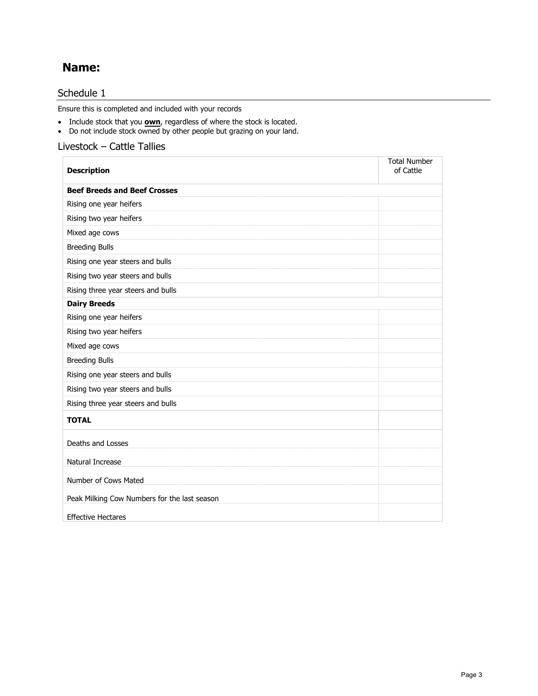# **Name:**

### Schedule 1

Ensure this is completed and included with your records

- Include stock that you **own**, regardless of where the stock is located.
- Do not include stock owned by other people but grazing on your land.

### Livestock – Cattle Tallies

| <b>Description</b>                           | <b>Total Number</b><br>of Cattle |
|----------------------------------------------|----------------------------------|
| <b>Beef Breeds and Beef Crosses</b>          |                                  |
| Rising one year heifers                      |                                  |
| Rising two year heifers                      |                                  |
| Mixed age cows                               |                                  |
| <b>Breeding Bulls</b>                        |                                  |
| Rising one year steers and bulls             |                                  |
| Rising two year steers and bulls             |                                  |
| Rising three year steers and bulls           |                                  |
| <b>Dairy Breeds</b>                          |                                  |
| Rising one year heifers                      |                                  |
| Rising two year heifers                      |                                  |
| Mixed age cows                               |                                  |
| <b>Breeding Bulls</b>                        |                                  |
| Rising one year steers and bulls             |                                  |
| Rising two year steers and bulls             |                                  |
| Rising three year steers and bulls           |                                  |
| <b>TOTAL</b>                                 |                                  |
| Deaths and Losses                            |                                  |
| Natural Increase                             |                                  |
| Number of Cows Mated                         |                                  |
| Peak Milking Cow Numbers for the last season |                                  |
| <b>Effective Hectares</b>                    |                                  |